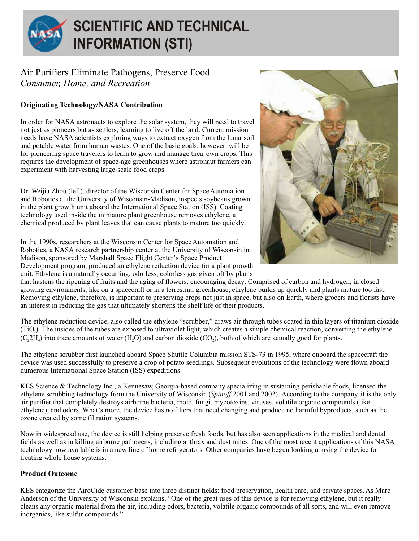

## **SCIENTIFIC AND TECHNICAL INFORMATION (STI)**

## Air Purifiers Eliminate Pathogens, Preserve Food *Consumer, Home, and Recreation*

## **Originating Technology/NASA Contribution**

In order for NASA astronauts to explore the solar system, they will need to travel not just as pioneers but as settlers, learning to live off the land. Current mission needs have NASA scientists exploring ways to extract oxygen from the lunar soil and potable water from human wastes. One of the basic goals, however, will be for pioneering space travelers to learn to grow and manage their own crops. This requires the development of space-age greenhouses where astronaut farmers can experiment with harvesting large-scale food crops.

Dr. Weijia Zhou (left), director of the Wisconsin Center for Space Automation and Robotics at the University of Wisconsin-Madison, inspects soybeans grown in the plant growth unit aboard the International Space Station (ISS). Coating technology used inside the miniature plant greenhouse removes ethylene, a chemical produced by plant leaves that can cause plants to mature too quickly.



In the 1990s, researchers at the Wisconsin Center for Space Automation and Robotics, a NASA research partnership center at the University of Wisconsin in Madison, sponsored by Marshall Space Flight Center's Space Product Development program, produced an ethylene reduction device for a plant growth unit. Ethylene is a naturally occurring, odorless, colorless gas given off by plants

that hastens the ripening of fruits and the aging of flowers, encouraging decay. Comprised of carbon and hydrogen, in closed growing environments, like on a spacecraft or in a terrestrial greenhouse, ethylene builds up quickly and plants mature too fast. Removing ethylene, therefore, is important to preserving crops not just in space, but also on Earth, where grocers and florists have an interest in reducing the gas that ultimately shortens the shelf life of their products.

The ethylene reduction device, also called the ethylene "scrubber," draws air through tubes coated in thin layers of titanium dioxide (TiO<sub>2</sub>). The insides of the tubes are exposed to ultraviolet light, which creates a simple chemical reaction, converting the ethylene  $(C<sub>2</sub>H<sub>a</sub>)$  into trace amounts of water  $(H<sub>2</sub>O)$  and carbon dioxide  $(CO<sub>a</sub>)$ , both of which are actually good for plants.

The ethylene scrubber first launched aboard Space Shuttle Columbia mission STS-73 in 1995, where onboard the spacecraft the device was used successfully to preserve a crop of potato seedlings. Subsequent evolutions of the technology were flown aboard numerous International Space Station (ISS) expeditions.

KES Science & Technology Inc., a Kennesaw, Georgia-based company specializing in sustaining perishable foods, licensed the ethylene scrubbing technology from the University of Wisconsin (*Spinoff* 2001 and 2002). According to the company, it is the only air purifier that completely destroys airborne bacteria, mold, fungi, mycotoxins, viruses, volatile organic compounds (like ethylene), and odors. What's more, the device has no filters that need changing and produce no harmful byproducts, such as the ozone created by some filtration systems.

Now in widespread use, the device is still helping preserve fresh foods, but has also seen applications in the medical and dental fields as well as in killing airborne pathogens, including anthrax and dust mites. One of the most recent applications of this NASA technology now available is in a new line of home refrigerators. Other companies have begun looking at using the device for treating whole house systems.

## **Product Outcome**

KES categorize the AiroCide customer-base into three distinct fields: food preservation, health care, and private spaces. As Marc Anderson of the University of Wisconsin explains, "One of the great uses of this device is for removing ethylene, but it really cleans any organic material from the air, including odors, bacteria, volatile organic compounds of all sorts, and will even remove inorganics, like sulfur compounds."